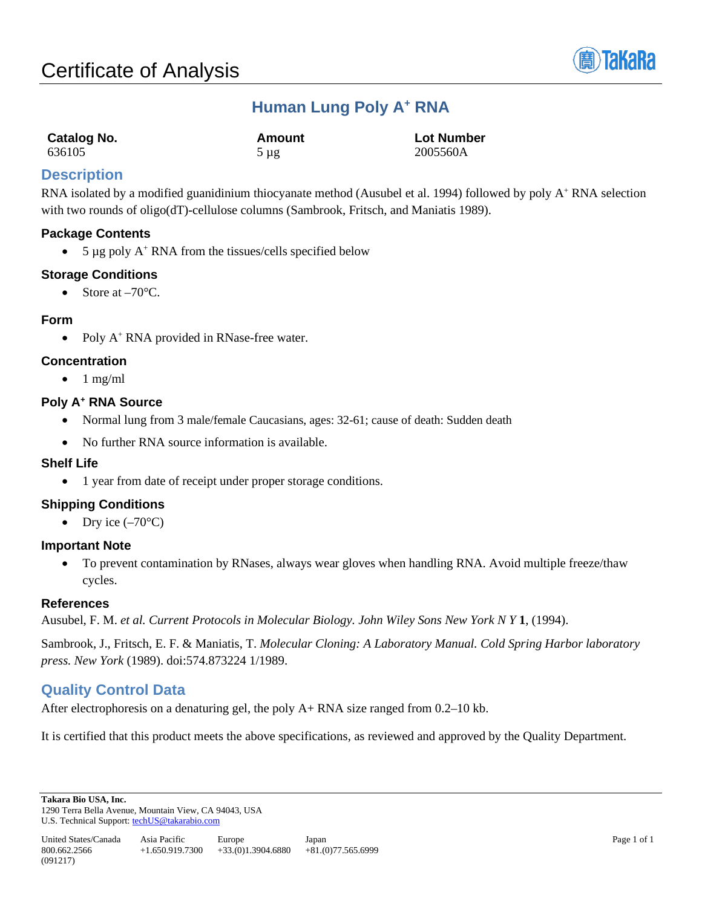

# **Human Lung Poly A+ RNA**

| Catalog No. | Amount    | <b>Lot Number</b> |
|-------------|-----------|-------------------|
| 636105      | $5 \mu$ g | 2005560A          |

## **Description**

RNA isolated by a modified guanidinium thiocyanate method (Ausubel et al. 1994) followed by poly A<sup>+</sup> RNA selection with two rounds of oligo(dT)-cellulose columns (Sambrook, Fritsch, and Maniatis 1989).

## **Package Contents**

•  $5 \mu$ g poly A<sup>+</sup> RNA from the tissues/cells specified below

## **Storage Conditions**

• Store at  $-70^{\circ}$ C.

#### **Form**

• Poly A<sup>+</sup> RNA provided in RNase-free water.

## **Concentration**

 $\bullet$  1 mg/ml

#### **Poly A+ RNA Source**

- Normal lung from 3 male/female Caucasians, ages: 32-61; cause of death: Sudden death
- No further RNA source information is available.

#### **Shelf Life**

• 1 year from date of receipt under proper storage conditions.

## **Shipping Conditions**

• Dry ice  $(-70^{\circ}C)$ 

#### **Important Note**

• To prevent contamination by RNases, always wear gloves when handling RNA. Avoid multiple freeze/thaw cycles.

#### **References**

Ausubel, F. M. *et al. Current Protocols in Molecular Biology. John Wiley Sons New York N Y* **1**, (1994).

Sambrook, J., Fritsch, E. F. & Maniatis, T. *Molecular Cloning: A Laboratory Manual. Cold Spring Harbor laboratory press. New York* (1989). doi:574.873224 1/1989.

## **Quality Control Data**

After electrophoresis on a denaturing gel, the poly A+ RNA size ranged from 0.2–10 kb.

It is certified that this product meets the above specifications, as reviewed and approved by the Quality Department.